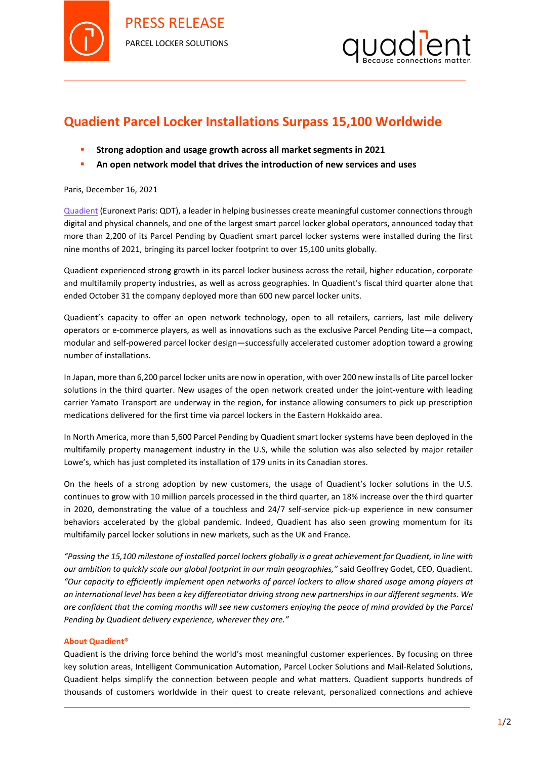

PRESS RELEASE PARCEL LOCKER SOLUTIONS



## **Quadient Parcel Locker Installations Surpass 15,100 Worldwide**

- **Strong adoption and usage growth across all market segments in 2021**
- **An open network model that drives the introduction of new services and uses**

## Paris, December 16, 2021

[Quadient](http://www.quadient.com/) (Euronext Paris: QDT), a leader in helping businesses create meaningful customer connections through digital and physical channels, and one of the largest smart parcel locker global operators, announced today that more than 2,200 of its Parcel Pending by Quadient smart parcel locker systems were installed during the first nine months of 2021, bringing its parcel locker footprint to over 15,100 units globally.

Quadient experienced strong growth in its parcel locker business across the retail, higher education, corporate and multifamily property industries, as well as across geographies. In Quadient's fiscal third quarter alone that ended October 31 the company deployed more than 600 new parcel locker units.

Quadient's capacity to offer an open network technology, open to all retailers, carriers, last mile delivery operators or e-commerce players, as well as innovations such as the exclusive Parcel Pending Lite—a compact, modular and self-powered parcel locker design—successfully accelerated customer adoption toward a growing number of installations.

In Japan, more than 6,200 parcel locker units are now in operation, with over 200 new installs of Lite parcel locker solutions in the third quarter. New usages of the open network created under the joint-venture with leading carrier Yamato Transport are underway in the region, for instance allowing consumers to pick up prescription medications delivered for the first time via parcel lockers in the Eastern Hokkaido area.

In North America, more than 5,600 Parcel Pending by Quadient smart locker systems have been deployed in the multifamily property management industry in the U.S, while the solution was also selected by major retailer Lowe's, which has just completed its installation of 179 units in its Canadian stores.

On the heels of a strong adoption by new customers, the usage of Quadient's locker solutions in the U.S. continues to grow with 10 million parcels processed in the third quarter, an 18% increase over the third quarter in 2020, demonstrating the value of a touchless and 24/7 self-service pick-up experience in new consumer behaviors accelerated by the global pandemic. Indeed, Quadient has also seen growing momentum for its multifamily parcel locker solutions in new markets, such as the UK and France.

*"Passing the 15,100 milestone of installed parcel lockers globally is a great achievement for Quadient, in line with our ambition to quickly scale our global footprint in our main geographies,"* said Geoffrey Godet, CEO, Quadient. *"Our capacity to efficiently implement open networks of parcel lockers to allow shared usage among players at an international level has been a key differentiator driving strong new partnerships in our different segments. We are confident that the coming months will see new customers enjoying the peace of mind provided by the Parcel Pending by Quadient delivery experience, wherever they are."*

## **About Quadient®**

Quadient is the driving force behind the world's most meaningful customer experiences. By focusing on three key solution areas, Intelligent Communication Automation, Parcel Locker Solutions and Mail-Related Solutions, Quadient helps simplify the connection between people and what matters. Quadient supports hundreds of thousands of customers worldwide in their quest to create relevant, personalized connections and achieve